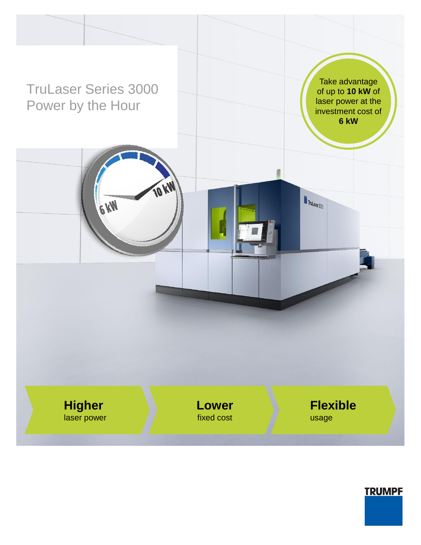

**TRUMPF**